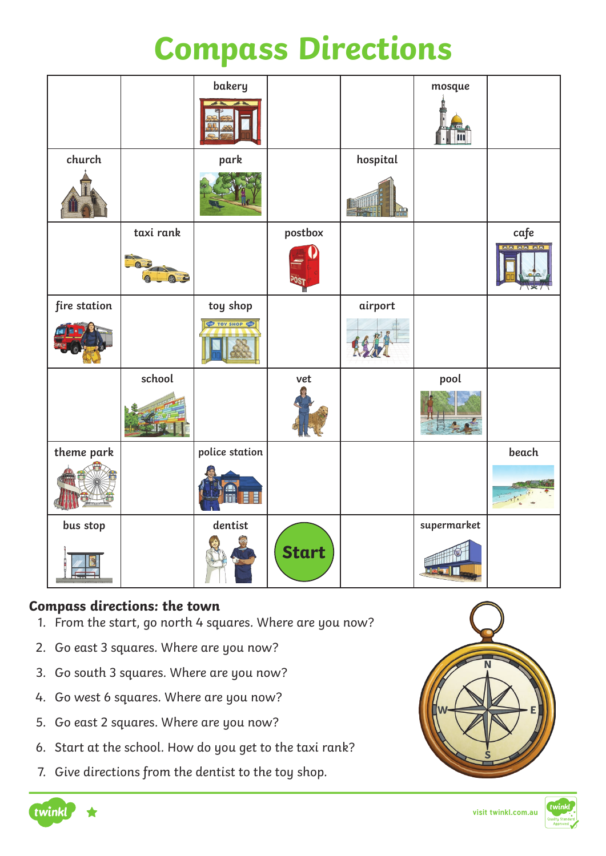## **Compass Directions**

|              |            | bakery         |              |          | mosque      |                               |
|--------------|------------|----------------|--------------|----------|-------------|-------------------------------|
| church       |            | park           |              | hospital |             |                               |
|              |            |                |              |          |             |                               |
|              | taxi rank  |                | postbox      |          |             | $\mathop{\sf caf}\nolimits e$ |
|              | <b>@ 3</b> |                |              |          |             | <b>BB BB BB</b>               |
| fire station |            | toy shop       |              | airport  |             |                               |
|              |            | TOY SHOP       |              |          |             |                               |
|              | school     |                | vet          |          | pool        |                               |
| theme park   |            | police station |              |          |             | beach                         |
|              |            | E              |              |          |             |                               |
| bus stop     |            | dentist        |              |          | supermarket |                               |
|              |            |                | <b>Start</b> |          | ₩₩          |                               |

#### **Compass directions: the town**

- 1. From the start, go north 4 squares. Where are you now?
- 2. Go east 3 squares. Where are you now?
- 3. Go south 3 squares. Where are you now?
- 4. Go west 6 squares. Where are you now?
- 5. Go east 2 squares. Where are you now?
- 6. Start at the school. How do you get to the taxi rank?
- 7. Give directions from the dentist to the toy shop.





**visit twinkl.com.au**

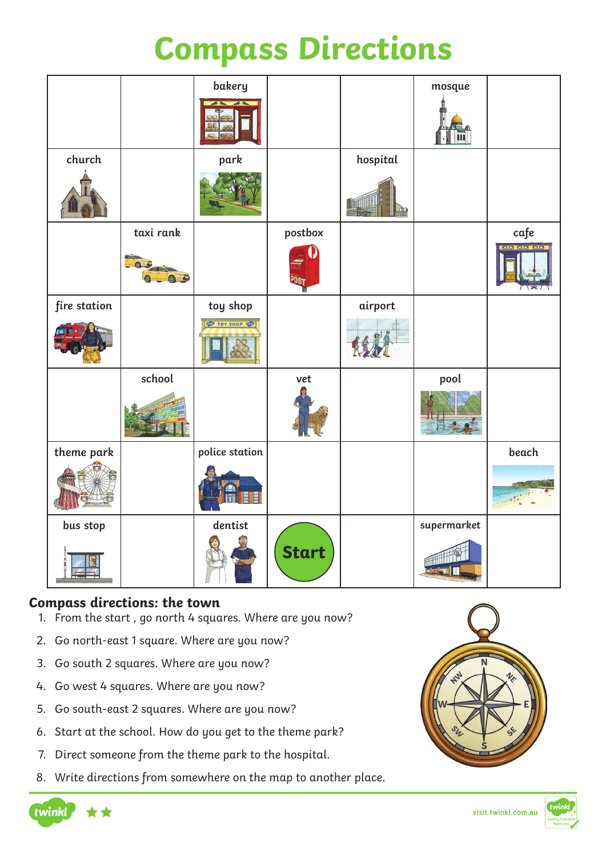## **Compass Directions**

|              |           | bakery         |              |          | mosque           |          |
|--------------|-----------|----------------|--------------|----------|------------------|----------|
|              |           |                |              |          |                  |          |
| church       |           | park           |              | hospital |                  |          |
|              |           |                |              |          |                  |          |
|              | taxi rank |                | postbox      |          |                  | cafe     |
|              | 05        |                |              |          |                  | as as as |
| fire station |           | toy shop       |              | airport  |                  |          |
|              |           | TOY SHOP       |              |          |                  |          |
|              | school    |                | vet          |          | pool             |          |
|              |           |                |              |          |                  |          |
| theme park   |           | police station |              |          |                  | beach    |
|              |           | Ħ              |              |          |                  |          |
| bus stop     |           | dentist        |              |          | supermarket      |          |
|              |           |                | <b>Start</b> |          | #11<br>skalegi I |          |

#### **Compass directions: the town**

- 1. From the start , go north 4 squares. Where are you now?
- 2. Go north-east 1 square. Where are you now?
- 3. Go south 2 squares. Where are you now?
- 4. Go west 4 squares. Where are you now?
- 5. Go south-east 2 squares. Where are you now?
- 6. Start at the school. How do you get to the theme park?
- 7. Direct someone from the theme park to the hospital.
- 8. Write directions from somewhere on the map to another place.





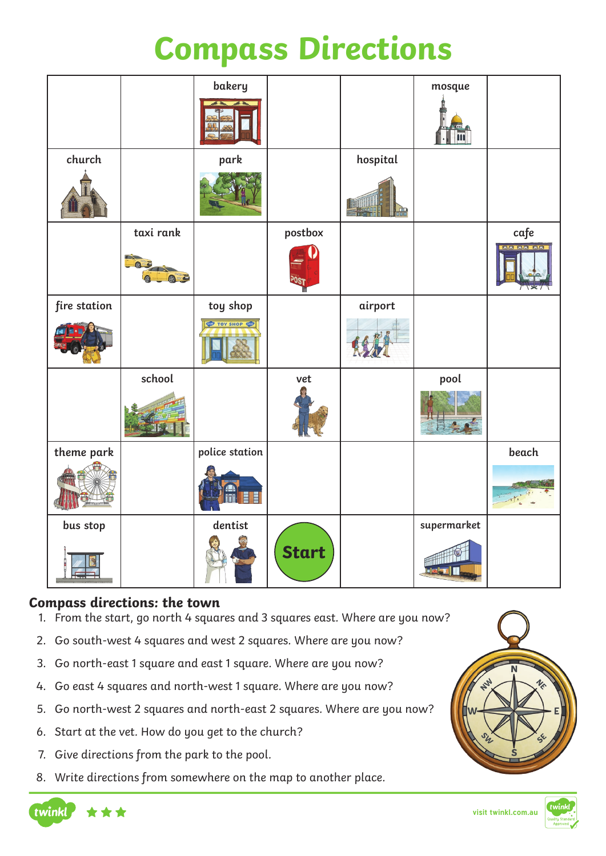## **Compass Directions**

|              |            | bakery         |              |          | mosque      |                 |
|--------------|------------|----------------|--------------|----------|-------------|-----------------|
| church       |            | park           |              | hospital |             |                 |
|              |            |                |              |          |             |                 |
|              | taxi rank  |                | postbox      |          |             | cafe            |
|              | <b>8 3</b> |                |              |          |             | <b>O.B.O.B.</b> |
| fire station |            | toy shop       |              | airport  |             |                 |
|              |            | TOY SHOP       |              |          |             |                 |
|              | school     |                | vet          |          | pool        |                 |
| theme park   |            | police station |              |          |             | beach           |
|              |            | E              |              |          |             |                 |
| bus stop     |            | dentist        |              |          | supermarket |                 |
|              |            |                | <b>Start</b> |          |             |                 |

#### **Compass directions: the town**

- 1. From the start, go north 4 squares and 3 squares east. Where are you now?
- 2. Go south-west 4 squares and west 2 squares. Where are you now?
- 3. Go north-east 1 square and east 1 square. Where are you now?
- 4. Go east 4 squares and north-west 1 square. Where are you now?
- 5. Go north-west 2 squares and north-east 2 squares. Where are you now?
- 6. Start at the vet. How do you get to the church?
- 7. Give directions from the park to the pool.
- 8. Write directions from somewhere on the map to another place.





**visit twinkl.com.au**

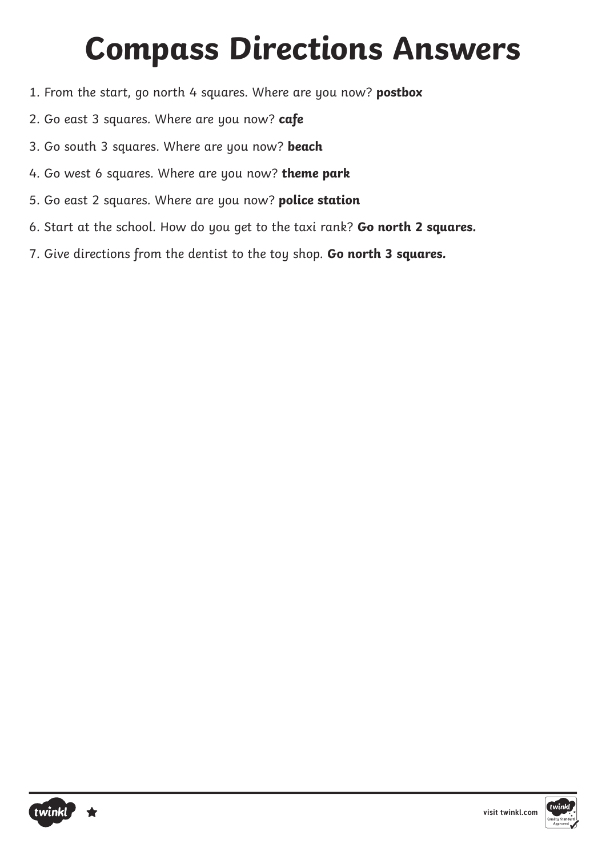# **Compass Directions Answers**

- 1. From the start, go north 4 squares. Where are you now? **postbox**
- 2. Go east 3 squares. Where are you now? **cafe**
- 3. Go south 3 squares. Where are you now? **beach**
- 4. Go west 6 squares. Where are you now? **theme park**
- 5. Go east 2 squares. Where are you now? **police station**
- 6. Start at the school. How do you get to the taxi rank? **Go north 2 squares.**
- 7. Give directions from the dentist to the toy shop. **Go north 3 squares.**



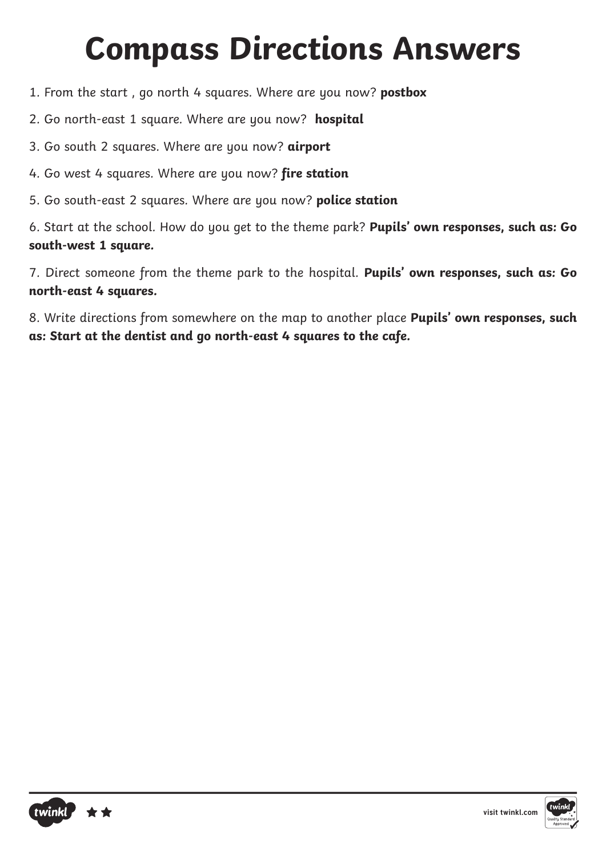# **Compass Directions Answers**

- 1. From the start , go north 4 squares. Where are you now? **postbox**
- 2. Go north-east 1 square. Where are you now? **hospital**
- 3. Go south 2 squares. Where are you now? **airport**
- 4. Go west 4 squares. Where are you now? **fire station**
- 5. Go south-east 2 squares. Where are you now? **police station**

6. Start at the school. How do you get to the theme park? **Pupils' own responses, such as: Go south-west 1 square.**

7. Direct someone from the theme park to the hospital. **Pupils' own responses, such as: Go north-east 4 squares.**

8. Write directions from somewhere on the map to another place **Pupils' own responses, such as: Start at the dentist and go north-east 4 squares to the cafe.**